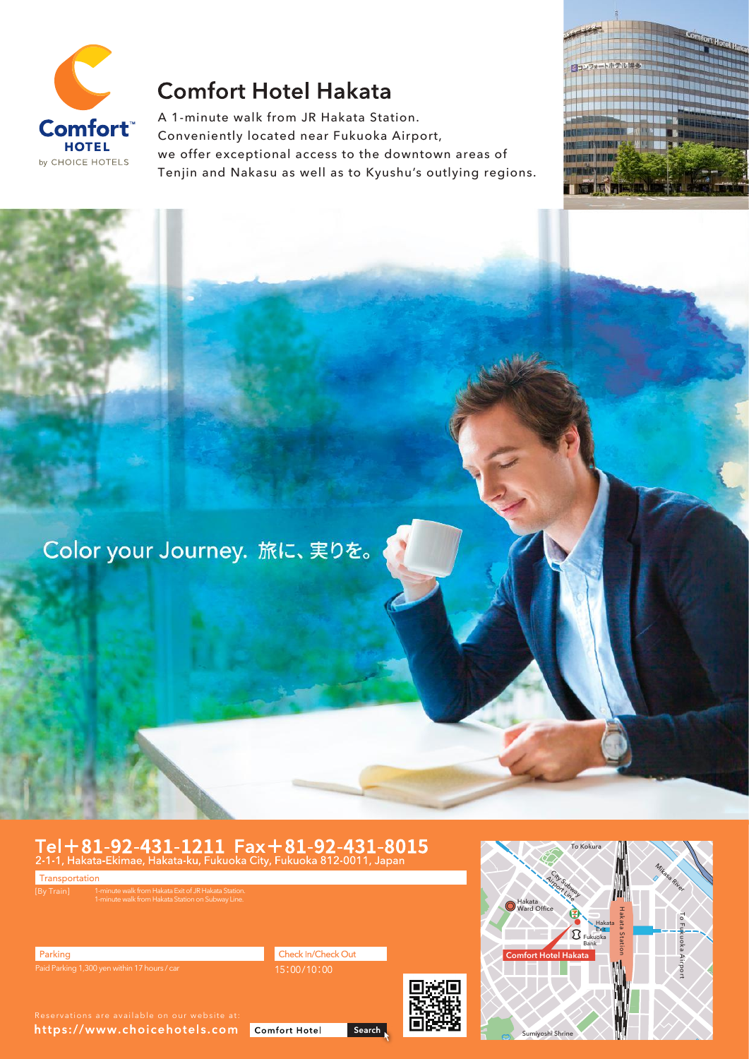

# **Comfort Hotel Hakata**

A 1-minute walk from JR Hakata Station. Conveniently located near Fukuoka Airport, we offer exceptional access to the downtown areas of Tenjin and Nakasu as well as to Kyushu's outlying regions.



Color your Journey. 旅に、実りを。

# Tel + 81-92-431-1211 Fax + 81-92-431-8015<br>2-1-1, Hakata-Ekimae, Hakata-ku, Fukuoka City, Fukuoka 812-0011, Japan

Transportation 1-minute walk from Hakata Exit of JR Hakata Station. 1-minute walk from Hakata Station on Subway Line. Check In/Check Out Parking





https://www.choicehotels.com Comfort Hotel